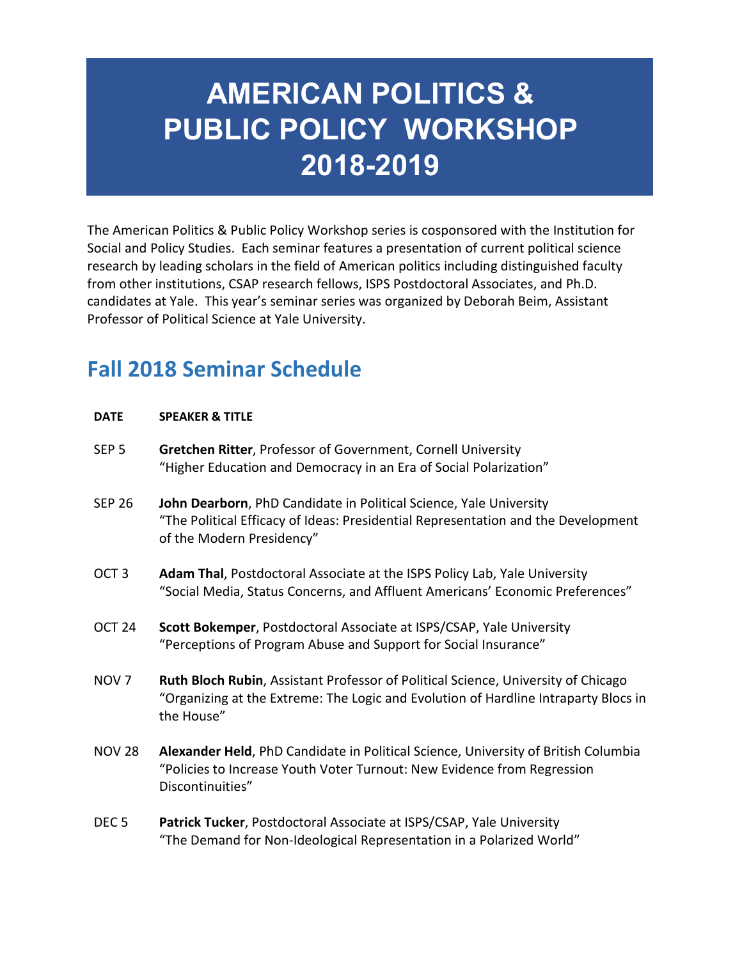## **AMERICAN POLITICS & PUBLIC POLICY WORKSHOP 2018-2019**

The American Politics & Public Policy Workshop series is cosponsored with the Institution for Social and Policy Studies. Each seminar features a presentation of current political science research by leading scholars in the field of American politics including distinguished faculty from other institutions, CSAP research fellows, ISPS Postdoctoral Associates, and Ph.D. candidates at Yale. This year's seminar series was organized by Deborah Beim, Assistant Professor of Political Science at Yale University.

## **Fall 2018 Seminar Schedule**

| <b>DATE</b>       | <b>SPEAKER &amp; TITLE</b>                                                                                                                                                                    |
|-------------------|-----------------------------------------------------------------------------------------------------------------------------------------------------------------------------------------------|
| SEP <sub>5</sub>  | <b>Gretchen Ritter, Professor of Government, Cornell University</b><br>"Higher Education and Democracy in an Era of Social Polarization"                                                      |
| <b>SEP 26</b>     | John Dearborn, PhD Candidate in Political Science, Yale University<br>"The Political Efficacy of Ideas: Presidential Representation and the Development<br>of the Modern Presidency"          |
| OCT <sub>3</sub>  | Adam Thal, Postdoctoral Associate at the ISPS Policy Lab, Yale University<br>"Social Media, Status Concerns, and Affluent Americans' Economic Preferences"                                    |
| OCT <sub>24</sub> | Scott Bokemper, Postdoctoral Associate at ISPS/CSAP, Yale University<br>"Perceptions of Program Abuse and Support for Social Insurance"                                                       |
| NOV <sub>7</sub>  | <b>Ruth Bloch Rubin, Assistant Professor of Political Science, University of Chicago</b><br>"Organizing at the Extreme: The Logic and Evolution of Hardline Intraparty Blocs in<br>the House" |
| <b>NOV 28</b>     | Alexander Held, PhD Candidate in Political Science, University of British Columbia<br>"Policies to Increase Youth Voter Turnout: New Evidence from Regression<br>Discontinuities"             |
|                   |                                                                                                                                                                                               |

DEC 5 **Patrick Tucker**, Postdoctoral Associate at ISPS/CSAP, Yale University "The Demand for Non-Ideological Representation in a Polarized World"